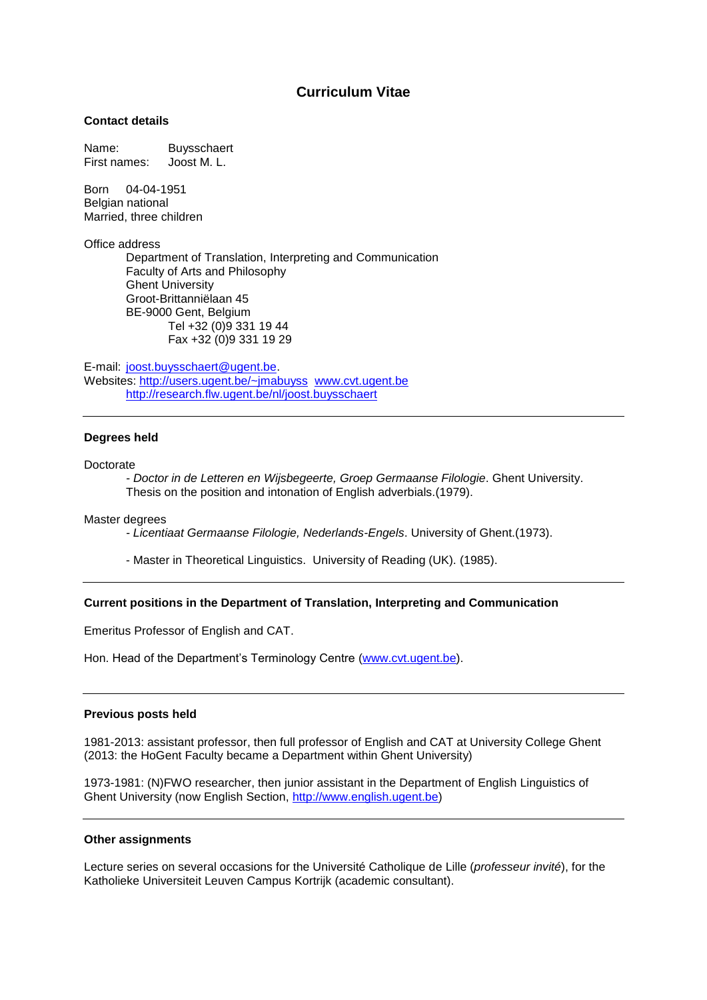# **Curriculum Vitae**

## **Contact details**

Name: Buysschaert First names: Joost M. L.

Born 04-04-1951 Belgian national Married, three children

Office address

Department of Translation, Interpreting and Communication Faculty of Arts and Philosophy Ghent University Groot-Brittanniëlaan 45 BE-9000 Gent, Belgium Tel +32 (0)9 331 19 44 Fax +32 (0)9 331 19 29

E-mail: [joost.buysschaert@ugent.be.](mailto:joost.buysschaert@ugent.be) Websites:<http://users.ugent.be/~jmabuyss> [www.cvt.ugent.be](http://www.cvt.ugent.be/)  <http://research.flw.ugent.be/nl/joost.buysschaert>

#### **Degrees held**

Doctorate

*- Doctor in de Letteren en Wijsbegeerte, Groep Germaanse Filologie*. Ghent University. Thesis on the position and intonation of English adverbials.(1979).

Master degrees

*- Licentiaat Germaanse Filologie, Nederlands-Engels*. University of Ghent.(1973).

- Master in Theoretical Linguistics. University of Reading (UK). (1985).

### **Current positions in the Department of Translation, Interpreting and Communication**

Emeritus Professor of English and CAT.

Hon. Head of the Department's Terminology Centre [\(www.cvt.ugent.be\)](http://www.cvt.ugent.be/).

#### **Previous posts held**

1981-2013: assistant professor, then full professor of English and CAT at University College Ghent (2013: the HoGent Faculty became a Department within Ghent University)

1973-1981: (N)FWO researcher, then junior assistant in the Department of English Linguistics of Ghent University (now English Section, [http://www.english.ugent.be\)](http://www.english.ugent.be/)

### **Other assignments**

Lecture series on several occasions for the Université Catholique de Lille (*professeur invité*), for the Katholieke Universiteit Leuven Campus Kortrijk (academic consultant).